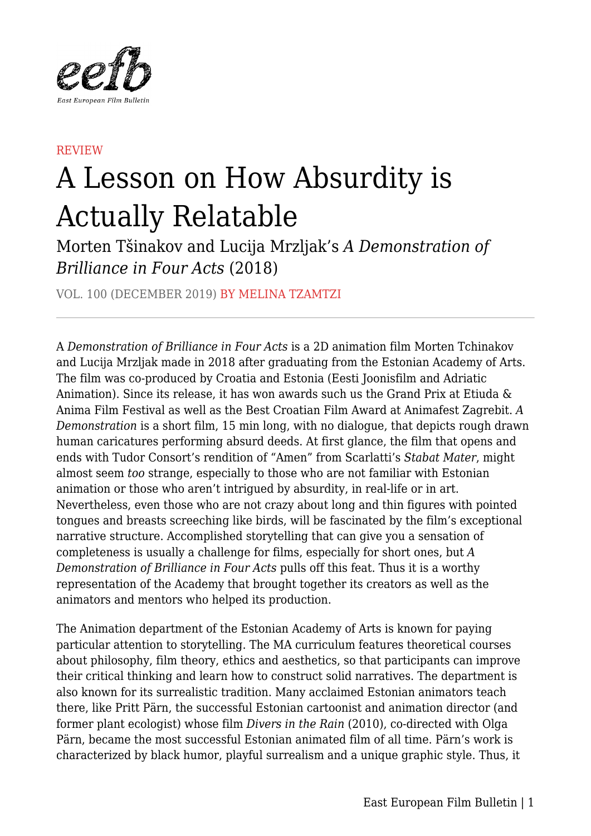

## REVIEW

## A Lesson on How Absurdity is Actually Relatable

Morten Tšinakov and Lucija Mrzljak's *A Demonstration of Brilliance in Four Acts* (2018)

VOL. 100 (DECEMBER 2019) BY MELINA TZAMTZI

A *Demonstration of Brilliance in Four Acts* is a 2D animation film Morten Tchinakov and Lucija Mrzljak made in 2018 after graduating from the Estonian Academy of Arts. The film was co-produced by Croatia and Estonia (Eesti Joonisfilm and Adriatic Animation). Since its release, it has won awards such us the Grand Prix at Etiuda & Anima Film Festival as well as the Best Croatian Film Award at Animafest Zagrebit. *A Demonstration* is a short film, 15 min long, with no dialogue, that depicts rough drawn human caricatures performing absurd deeds. At first glance, the film that opens and ends with Tudor Consort's rendition of "Amen" from Scarlatti's *Stabat Mater*, might almost seem *too* strange, especially to those who are not familiar with Estonian animation or those who aren't intrigued by absurdity, in real-life or in art. Nevertheless, even those who are not crazy about long and thin figures with pointed tongues and breasts screeching like birds, will be fascinated by the film's exceptional narrative structure. Accomplished storytelling that can give you a sensation of completeness is usually a challenge for films, especially for short ones, but *A Demonstration of Brilliance in Four Acts* pulls off this feat. Thus it is a worthy representation of the Academy that brought together its creators as well as the animators and mentors who helped its production.

The Animation department of the Estonian Academy of Arts is known for paying particular attention to storytelling. The MA curriculum features theoretical courses about philosophy, film theory, ethics and aesthetics, so that participants can improve their critical thinking and learn how to construct solid narratives. The department is also known for its surrealistic tradition. Many acclaimed Estonian animators teach there, like Pritt Pärn, the successful Estonian cartoonist and animation director (and former plant ecologist) whose film *Divers in the Rain* (2010), co-directed with Olga Pärn, became the most successful Estonian animated film of all time. Pärn's work is characterized by black humor, playful surrealism and a unique graphic style. Thus, it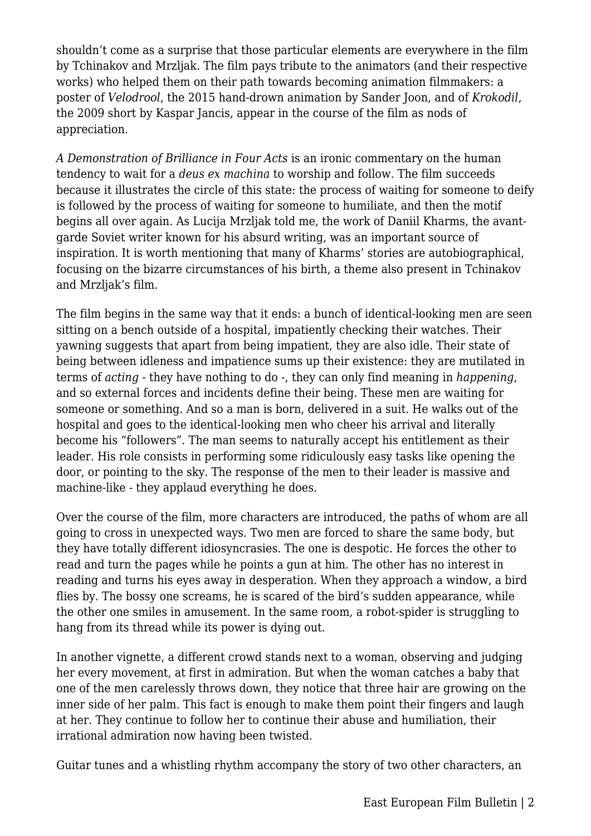shouldn't come as a surprise that those particular elements are everywhere in the film by Tchinakov and Mrzljak. The film pays tribute to the animators (and their respective works) who helped them on their path towards becoming animation filmmakers: a poster of *Velodrool*, the 2015 hand-drown animation by Sander Joon, and of *Krokodil*, the 2009 short by Kaspar Jancis, appear in the course of the film as nods of appreciation.

*A Demonstration of Brilliance in Four Acts* is an ironic commentary on the human tendency to wait for a *deus ex machina* to worship and follow. The film succeeds because it illustrates the circle of this state: the process of waiting for someone to deify is followed by the process of waiting for someone to humiliate, and then the motif begins all over again. As Lucija Mrzljak told me, the work of Daniil Kharms, the avantgarde Soviet writer known for his absurd writing, was an important source of inspiration. It is worth mentioning that many of Kharms' stories are autobiographical, focusing on the bizarre circumstances of his birth, a theme also present in Tchinakov and Mrzljak's film.

The film begins in the same way that it ends: a bunch of identical-looking men are seen sitting on a bench outside of a hospital, impatiently checking their watches. Their yawning suggests that apart from being impatient, they are also idle. Their state of being between idleness and impatience sums up their existence: they are mutilated in terms of *acting* - they have nothing to do -, they can only find meaning in *happening*, and so external forces and incidents define their being. These men are waiting for someone or something. And so a man is born, delivered in a suit. He walks out of the hospital and goes to the identical-looking men who cheer his arrival and literally become his "followers". The man seems to naturally accept his entitlement as their leader. His role consists in performing some ridiculously easy tasks like opening the door, or pointing to the sky. The response of the men to their leader is massive and machine-like - they applaud everything he does.

Over the course of the film, more characters are introduced, the paths of whom are all going to cross in unexpected ways. Two men are forced to share the same body, but they have totally different idiosyncrasies. The one is despotic. He forces the other to read and turn the pages while he points a gun at him. The other has no interest in reading and turns his eyes away in desperation. When they approach a window, a bird flies by. The bossy one screams, he is scared of the bird's sudden appearance, while the other one smiles in amusement. In the same room, a robot-spider is struggling to hang from its thread while its power is dying out.

In another vignette, a different crowd stands next to a woman, observing and judging her every movement, at first in admiration. But when the woman catches a baby that one of the men carelessly throws down, they notice that three hair are growing on the inner side of her palm. This fact is enough to make them point their fingers and laugh at her. They continue to follow her to continue their abuse and humiliation, their irrational admiration now having been twisted.

Guitar tunes and a whistling rhythm accompany the story of two other characters, an